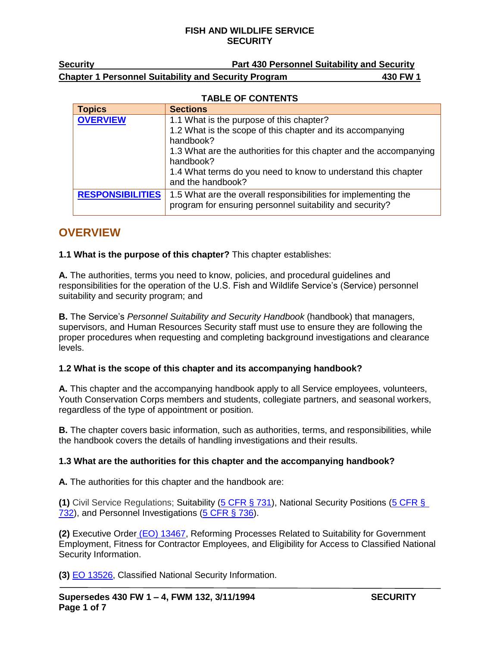| Security                                                    | <b>Part 430 Personnel Suitability and Security</b> |          |
|-------------------------------------------------------------|----------------------------------------------------|----------|
| <b>Chapter 1 Personnel Suitability and Security Program</b> |                                                    | 430 FW 1 |

#### **TABLE OF CONTENTS**

| <b>Topics</b>           | <b>Sections</b>                                                                                                            |
|-------------------------|----------------------------------------------------------------------------------------------------------------------------|
| <b>OVERVIEW</b>         | 1.1 What is the purpose of this chapter?                                                                                   |
|                         | 1.2 What is the scope of this chapter and its accompanying<br>handbook?                                                    |
|                         | 1.3 What are the authorities for this chapter and the accompanying<br>handbook?                                            |
|                         | 1.4 What terms do you need to know to understand this chapter<br>and the handbook?                                         |
| <b>RESPONSIBILITIES</b> | 1.5 What are the overall responsibilities for implementing the<br>program for ensuring personnel suitability and security? |

# <span id="page-0-0"></span>**OVERVIEW**

#### **1.1 What is the purpose of this chapter?** This chapter establishes:

**A.** The authorities, terms you need to know, policies, and procedural guidelines and responsibilities for the operation of the U.S. Fish and Wildlife Service's (Service) personnel suitability and security program; and

**B.** The Service's *Personnel Suitability and Security Handbook* (handbook) that managers, supervisors, and Human Resources Security staff must use to ensure they are following the proper procedures when requesting and completing background investigations and clearance levels.

## **1.2 What is the scope of this chapter and its accompanying handbook?**

**A.** This chapter and the accompanying handbook apply to all Service employees, volunteers, Youth Conservation Corps members and students, collegiate partners, and seasonal workers, regardless of the type of appointment or position.

**B.** The chapter covers basic information, such as authorities, terms, and responsibilities, while the handbook covers the details of handling investigations and their results.

#### **1.3 What are the authorities for this chapter and the accompanying handbook?**

**A.** The authorities for this chapter and the handbook are:

**(1)** Civil Service Regulations; Suitability [\(5 CFR](http://www.ecfr.gov/) § 731), National Security Positions [\(5 CFR §](http://www.ecfr.gov/) [732\)](http://www.ecfr.gov/), and Personnel Investigations [\(5 CFR](http://www.ecfr.gov/) § 736).

**(2)** Executive Order (EO) [13467,](http://www.archives.gov/federal-register/executive-orders/disposition.html) Reforming Processes Related to Suitability for Government Employment, Fitness for Contractor Employees, and Eligibility for Access to Classified National Security Information.

**(3)** [EO 13526,](http://www.archives.gov/federal-register/executive-orders/disposition.html) Classified National Security Information.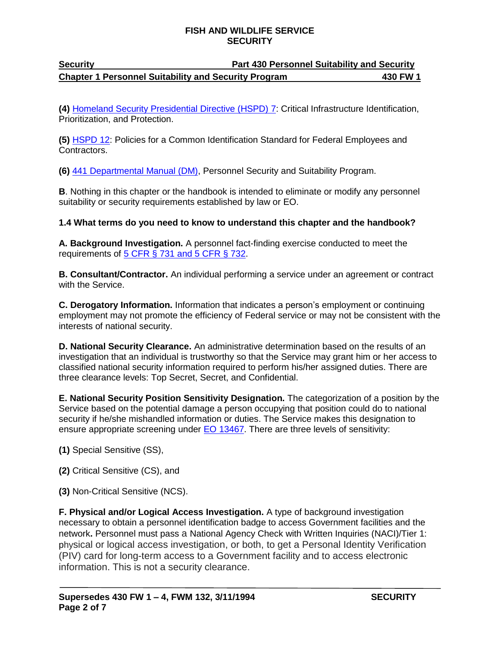# **Security Part 430 Personnel Suitability and Security Chapter 1 Personnel Suitability and Security Program 430 FW 1**

**(4)** [Homeland Security Presidential Directive \(HSPD\) 7:](https://www.dhs.gov/presidential-directives) Critical Infrastructure Identification, Prioritization, and Protection.

**(5)** [HSPD](https://www.dhs.gov/presidential-directives) 12: Policies for a Common Identification Standard for Federal Employees and Contractors.

**(6)** [441 Departmental Manual \(DM\),](https://www.doi.gov/elips/browse) Personnel Security and Suitability Program.

**B**. Nothing in this chapter or the handbook is intended to eliminate or modify any personnel suitability or security requirements established by law or EO.

## **1.4 What terms do you need to know to understand this chapter and the handbook?**

**A. Background Investigation.** A personnel fact-finding exercise conducted to meet the requirements of 5 CFR § [731 and 5 CFR](http://www.ecfr.gov/) § 732.

**B. Consultant/Contractor.** An individual performing a service under an agreement or contract with the Service.

**C. Derogatory Information.** Information that indicates a person's employment or continuing employment may not promote the efficiency of Federal service or may not be consistent with the interests of national security.

**D. National Security Clearance.** An administrative determination based on the results of an investigation that an individual is trustworthy so that the Service may grant him or her access to classified national security information required to perform his/her assigned duties. There are three clearance levels: Top Secret, Secret, and Confidential.

**E. National Security Position Sensitivity Designation.** The categorization of a position by the Service based on the potential damage a person occupying that position could do to national security if he/she mishandled information or duties. The Service makes this designation to ensure appropriate screening under **EO 13467**. There are three levels of sensitivity:

**(1)** Special Sensitive (SS),

**(2)** Critical Sensitive (CS), and

**(3)** Non-Critical Sensitive (NCS).

**F. Physical and/or Logical Access Investigation.** A type of background investigation necessary to obtain a personnel identification badge to access Government facilities and the network**.** Personnel must pass a National Agency Check with Written Inquiries (NACI)/Tier 1: physical or logical access investigation, or both, to get a Personal Identity Verification (PIV) card for long-term access to a Government facility and to access electronic information. This is not a security clearance.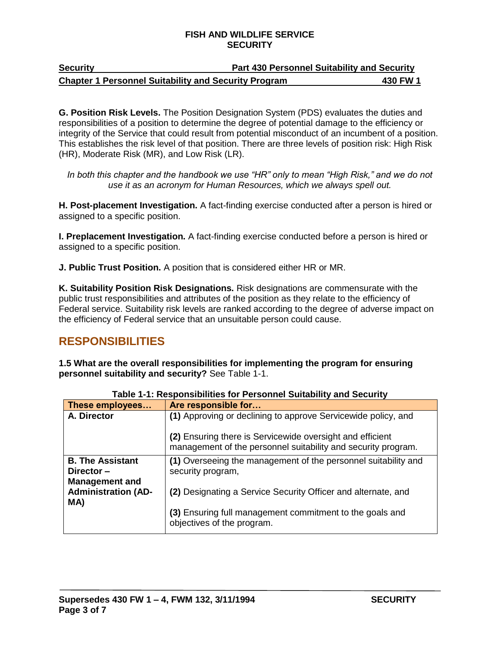| <b>Security</b>                                             | <b>Part 430 Personnel Suitability and Security</b> |
|-------------------------------------------------------------|----------------------------------------------------|
| <b>Chapter 1 Personnel Suitability and Security Program</b> | 430 FW 1                                           |

**G. Position Risk Levels.** The Position Designation System (PDS) evaluates the duties and responsibilities of a position to determine the degree of potential damage to the efficiency or integrity of the Service that could result from potential misconduct of an incumbent of a position. This establishes the risk level of that position. There are three levels of position risk: High Risk (HR), Moderate Risk (MR), and Low Risk (LR).

*In both this chapter and the handbook we use "HR" only to mean "High Risk," and we do not use it as an acronym for Human Resources, which we always spell out.*

**H. Post-placement Investigation.** A fact-finding exercise conducted after a person is hired or assigned to a specific position.

**I. Preplacement Investigation.** A fact-finding exercise conducted before a person is hired or assigned to a specific position.

**J. Public Trust Position.** A position that is considered either HR or MR.

**K. Suitability Position Risk Designations.** Risk designations are commensurate with the public trust responsibilities and attributes of the position as they relate to the efficiency of Federal service. Suitability risk levels are ranked according to the degree of adverse impact on the efficiency of Federal service that an unsuitable person could cause.

# <span id="page-2-0"></span>**RESPONSIBILITIES**

**1.5 What are the overall responsibilities for implementing the program for ensuring personnel suitability and security?** See Table 1-1.

| These employees                                            | Are responsible for                                                                                                        |
|------------------------------------------------------------|----------------------------------------------------------------------------------------------------------------------------|
| A. Director                                                | (1) Approving or declining to approve Servicewide policy, and                                                              |
|                                                            | (2) Ensuring there is Servicewide oversight and efficient<br>management of the personnel suitability and security program. |
| <b>B. The Assistant</b>                                    | (1) Overseeing the management of the personnel suitability and                                                             |
| Director-                                                  | security program,                                                                                                          |
| <b>Management and</b><br><b>Administration (AD-</b><br>MA) | (2) Designating a Service Security Officer and alternate, and                                                              |
|                                                            | (3) Ensuring full management commitment to the goals and<br>objectives of the program.                                     |

**Table 1-1: Responsibilities for Personnel Suitability and Security**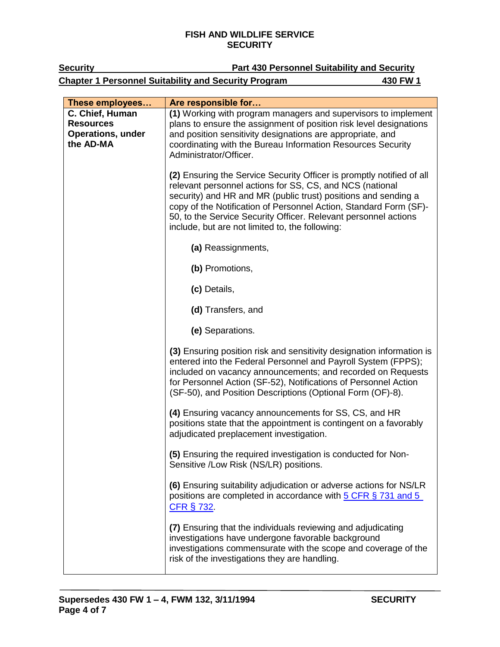| <b>Security</b>                                                              | <b>Part 430 Personnel Suitability and Security</b>                                                                                                                                                                                                                                                                                                                                                                                             |  |
|------------------------------------------------------------------------------|------------------------------------------------------------------------------------------------------------------------------------------------------------------------------------------------------------------------------------------------------------------------------------------------------------------------------------------------------------------------------------------------------------------------------------------------|--|
|                                                                              | <b>Chapter 1 Personnel Suitability and Security Program</b><br>430 FW 1                                                                                                                                                                                                                                                                                                                                                                        |  |
| These employees                                                              | Are responsible for                                                                                                                                                                                                                                                                                                                                                                                                                            |  |
| C. Chief, Human<br><b>Resources</b><br><b>Operations, under</b><br>the AD-MA | (1) Working with program managers and supervisors to implement<br>plans to ensure the assignment of position risk level designations<br>and position sensitivity designations are appropriate, and<br>coordinating with the Bureau Information Resources Security                                                                                                                                                                              |  |
|                                                                              | Administrator/Officer.<br>(2) Ensuring the Service Security Officer is promptly notified of all<br>relevant personnel actions for SS, CS, and NCS (national<br>security) and HR and MR (public trust) positions and sending a<br>copy of the Notification of Personnel Action, Standard Form (SF)-<br>50, to the Service Security Officer. Relevant personnel actions<br>include, but are not limited to, the following:<br>(a) Reassignments, |  |
|                                                                              | (b) Promotions,<br>(c) Details,                                                                                                                                                                                                                                                                                                                                                                                                                |  |
|                                                                              | (d) Transfers, and<br>(e) Separations.                                                                                                                                                                                                                                                                                                                                                                                                         |  |
|                                                                              | (3) Ensuring position risk and sensitivity designation information is<br>entered into the Federal Personnel and Payroll System (FPPS);<br>included on vacancy announcements; and recorded on Requests<br>for Personnel Action (SF-52), Notifications of Personnel Action<br>(SF-50), and Position Descriptions (Optional Form (OF)-8).                                                                                                         |  |
|                                                                              | (4) Ensuring vacancy announcements for SS, CS, and HR<br>positions state that the appointment is contingent on a favorably<br>adjudicated preplacement investigation.                                                                                                                                                                                                                                                                          |  |
|                                                                              | (5) Ensuring the required investigation is conducted for Non-<br>Sensitive /Low Risk (NS/LR) positions.                                                                                                                                                                                                                                                                                                                                        |  |
|                                                                              | (6) Ensuring suitability adjudication or adverse actions for NS/LR<br>positions are completed in accordance with 5 CFR § 731 and 5<br><b>CFR § 732.</b>                                                                                                                                                                                                                                                                                        |  |
|                                                                              | (7) Ensuring that the individuals reviewing and adjudicating<br>investigations have undergone favorable background<br>investigations commensurate with the scope and coverage of the<br>risk of the investigations they are handling.                                                                                                                                                                                                          |  |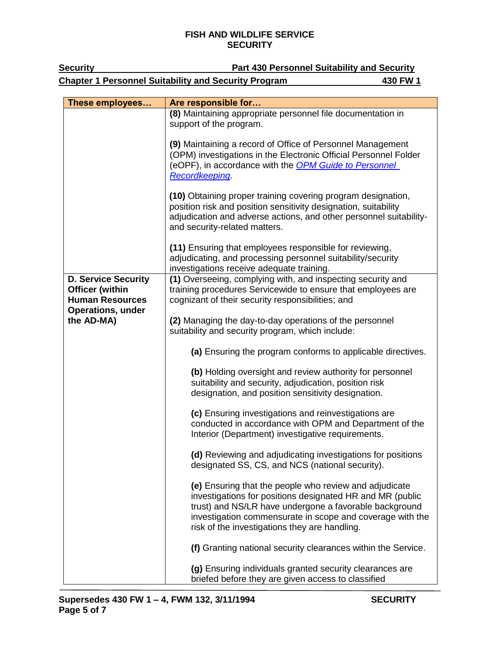| <b>Security</b>                                                                                            | <b>Part 430 Personnel Suitability and Security</b>                                                                                                                                                                                                                                          |
|------------------------------------------------------------------------------------------------------------|---------------------------------------------------------------------------------------------------------------------------------------------------------------------------------------------------------------------------------------------------------------------------------------------|
|                                                                                                            | <b>Chapter 1 Personnel Suitability and Security Program</b><br>430 FW 1                                                                                                                                                                                                                     |
|                                                                                                            |                                                                                                                                                                                                                                                                                             |
| These employees                                                                                            | Are responsible for                                                                                                                                                                                                                                                                         |
|                                                                                                            | (8) Maintaining appropriate personnel file documentation in<br>support of the program.                                                                                                                                                                                                      |
|                                                                                                            | (9) Maintaining a record of Office of Personnel Management<br>(OPM) investigations in the Electronic Official Personnel Folder<br>(eOPF), in accordance with the <b>OPM Guide to Personnel</b><br>Recordkeeping                                                                             |
|                                                                                                            | (10) Obtaining proper training covering program designation,<br>position risk and position sensitivity designation, suitability<br>adjudication and adverse actions, and other personnel suitability-<br>and security-related matters.                                                      |
|                                                                                                            | (11) Ensuring that employees responsible for reviewing,<br>adjudicating, and processing personnel suitability/security<br>investigations receive adequate training.                                                                                                                         |
| <b>D. Service Security</b><br><b>Officer (within</b><br><b>Human Resources</b><br><b>Operations, under</b> | (1) Overseeing, complying with, and inspecting security and<br>training procedures Servicewide to ensure that employees are<br>cognizant of their security responsibilities; and                                                                                                            |
| the AD-MA)                                                                                                 | (2) Managing the day-to-day operations of the personnel<br>suitability and security program, which include:                                                                                                                                                                                 |
|                                                                                                            | (a) Ensuring the program conforms to applicable directives.                                                                                                                                                                                                                                 |
|                                                                                                            | (b) Holding oversight and review authority for personnel<br>suitability and security, adjudication, position risk<br>designation, and position sensitivity designation.                                                                                                                     |
|                                                                                                            | (c) Ensuring investigations and reinvestigations are<br>conducted in accordance with OPM and Department of the<br>Interior (Department) investigative requirements.                                                                                                                         |
|                                                                                                            | (d) Reviewing and adjudicating investigations for positions<br>designated SS, CS, and NCS (national security).                                                                                                                                                                              |
|                                                                                                            | (e) Ensuring that the people who review and adjudicate<br>investigations for positions designated HR and MR (public<br>trust) and NS/LR have undergone a favorable background<br>investigation commensurate in scope and coverage with the<br>risk of the investigations they are handling. |
|                                                                                                            | (f) Granting national security clearances within the Service.                                                                                                                                                                                                                               |
|                                                                                                            | (g) Ensuring individuals granted security clearances are<br>briefed before they are given access to classified                                                                                                                                                                              |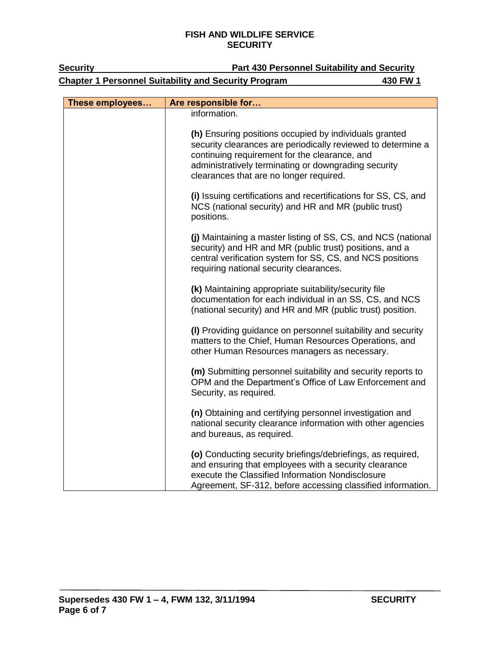| <b>Chapter 1 Personnel Suitability and Security Program</b> |                                                                                                                                                                                                                                                                                            | 430 FW 1 |
|-------------------------------------------------------------|--------------------------------------------------------------------------------------------------------------------------------------------------------------------------------------------------------------------------------------------------------------------------------------------|----------|
| These employees                                             | Are responsible for                                                                                                                                                                                                                                                                        |          |
|                                                             | information.<br>(h) Ensuring positions occupied by individuals granted<br>security clearances are periodically reviewed to determine a<br>continuing requirement for the clearance, and<br>administratively terminating or downgrading security<br>clearances that are no longer required. |          |
|                                                             | (i) Issuing certifications and recertifications for SS, CS, and<br>NCS (national security) and HR and MR (public trust)<br>positions.                                                                                                                                                      |          |
|                                                             | (j) Maintaining a master listing of SS, CS, and NCS (national<br>security) and HR and MR (public trust) positions, and a<br>central verification system for SS, CS, and NCS positions<br>requiring national security clearances.                                                           |          |
|                                                             | (k) Maintaining appropriate suitability/security file<br>documentation for each individual in an SS, CS, and NCS<br>(national security) and HR and MR (public trust) position.                                                                                                             |          |
|                                                             | (I) Providing guidance on personnel suitability and security<br>matters to the Chief, Human Resources Operations, and<br>other Human Resources managers as necessary.                                                                                                                      |          |
|                                                             | (m) Submitting personnel suitability and security reports to<br>OPM and the Department's Office of Law Enforcement and<br>Security, as required.                                                                                                                                           |          |
|                                                             | (n) Obtaining and certifying personnel investigation and<br>national security clearance information with other agencies<br>and bureaus, as required.                                                                                                                                       |          |
|                                                             | (o) Conducting security briefings/debriefings, as required,<br>and ensuring that employees with a security clearance<br>execute the Classified Information Nondisclosure<br>Agreement, SF-312, before accessing classified information.                                                    |          |

## **Security Part 430 Personnel Suitability and Security**